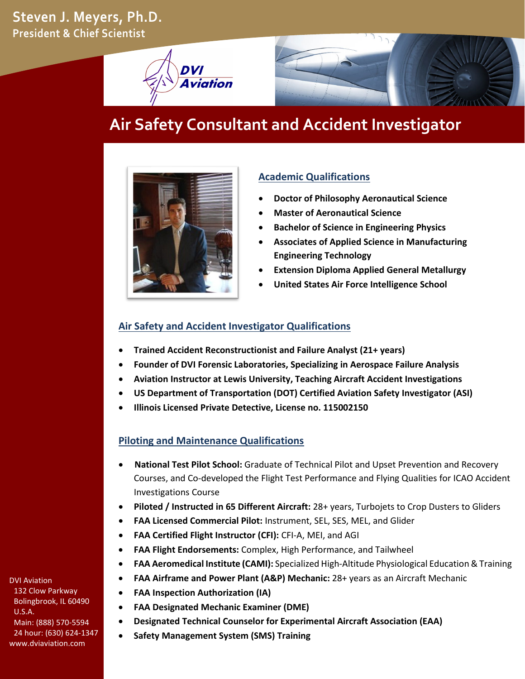**Steven J. Meyers, Ph.D. President & Chief Scientist**





# **Air Safety Consultant and Accident Investigator**



## **Academic Qualifications**

- **Doctor of Philosophy Aeronautical Science**
- **Master of Aeronautical Science**
- **Bachelor of Science in Engineering Physics**
- **Associates of Applied Science in Manufacturing Engineering Technology**
- **Extension Diploma Applied General Metallurgy**
- **United States Air Force Intelligence School**

## **Air Safety and Accident Investigator Qualifications**

- **Trained Accident Reconstructionist and Failure Analyst (21+ years)**
- **Founder of DVI Forensic Laboratories, Specializing in Aerospace Failure Analysis**
- **Aviation Instructor at Lewis University, Teaching Aircraft Accident Investigations**
- **US Department of Transportation (DOT) Certified Aviation Safety Investigator (ASI)**
- **Illinois Licensed Private Detective, License no. 115002150**

## **Piloting and Maintenance Qualifications**

- • **National Test Pilot School:** Graduate of Technical Pilot and Upset Prevention and Recovery Courses, and Co-developed the Flight Test Performance and Flying Qualities for ICAO Accident Investigations Course
- **Piloted / Instructed in 65 Different Aircraft:** 28+ years, Turbojets to Crop Dusters to Gliders
- **FAA Licensed Commercial Pilot:** Instrument, SEL, SES, MEL, and Glider
- **FAA Certified Flight Instructor (CFI):** CFI-A, MEI, and AGI
- **FAA Flight Endorsements:** Complex, High Performance, and Tailwheel
- **FAA Aeromedical Institute (CAMI):** Specialized High-Altitude Physiological Education & Training
- **FAA Airframe and Power Plant (A&P) Mechanic:** 28+ years as an Aircraft Mechanic
- **FAA Inspection Authorization (IA)**
- **FAA Designated Mechanic Examiner (DME)**
- **Designated Technical Counselor for Experimental Aircraft Association (EAA)**
- **Safety Management System (SMS) Training**

DVI Aviation 132 Clow Parkway Bolingbrook, IL 60490 U.S.A. Main: (888) 570-5594 24 hour: (630) 624-1347 www.dviaviation.com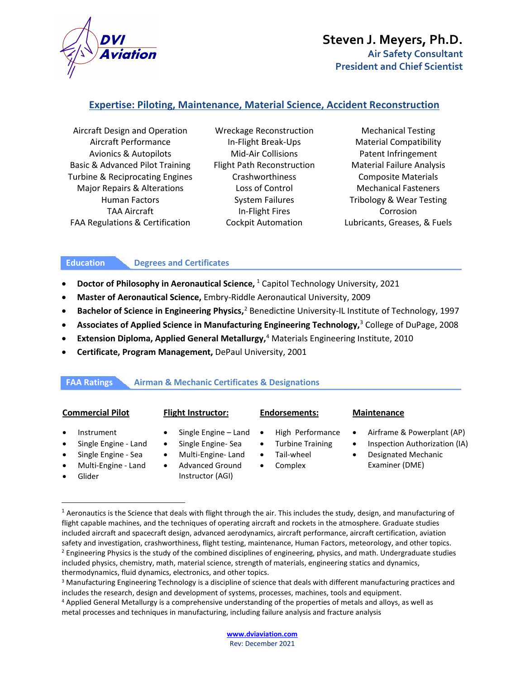

## **Expertise: Piloting, Maintenance, Material Science, Accident Reconstruction**

Aircraft Design and Operation Wreckage Reconstruction Mechanical Testing Aircraft Performance **In-Flight Break-Ups** Material Compatibility Avionics & Autopilots **Mid-Air Collisions** Patent Infringement Basic & Advanced Pilot Training Flight Path Reconstruction Material Failure Analysis Turbine & Reciprocating Engines Crashworthiness Composite Materials Major Repairs & Alterations Loss of Control Mechanical Fasteners FAA Regulations & Certification Cockpit Automation Lubricants, Greases, & Fuels

Human Factors **System Failures** Tribology & Wear Testing TAA Aircraft **In-Flight Fires** Corrosion

### **Education Degrees and Certificates**

- **Doctor of Philosophy in Aeronautical Science, <sup>[1](#page-1-0)</sup> Capitol Technology University, 2021**
- **Master of Aeronautical Science,** Embry-Riddle Aeronautical University, 2009
- **Bachelor of Science in Engineering Physics,**<sup>[2](#page-1-1)</sup> Benedictine University-IL Institute of Technology, 1997
- **Associates of Applied Science in Manufacturing Engineering Technology,** [3](#page-1-2) College of DuPage, 2008
- **Extension Diploma, Applied General Metallurgy,** [4](#page-1-3) Materials Engineering Institute, 2010
- **Certificate, Program Management,** DePaul University, 2001

### **FAA Ratings Airman & Mechanic Certificates & Designations**

|  |  |  | <b>Commercial Pilot</b> |  |
|--|--|--|-------------------------|--|
|  |  |  |                         |  |

- **Instrument**
- Single Engine Land
- Single Engine Sea
- Multi-Engine Land
- Glider
- 
- Single Engine Land
- Single Engine- Sea
- Multi-Engine- Land
- Advanced Ground Instructor (AGI)

### **Commercial Pilot Flight Instructor: Endorsements: Maintenance**

- High Performance
- Turbine Training
- Tail-wheel
- Complex

- Airframe & Powerplant (AP)
- Inspection Authorization (IA)
- Designated Mechanic Examiner (DME)

<span id="page-1-0"></span><sup>&</sup>lt;sup>1</sup> Aeronautics is the Science that deals with flight through the air. This includes the study, design, and manufacturing of flight capable machines, and the techniques of operating aircraft and rockets in the atmosphere. Graduate studies included aircraft and spacecraft design, advanced aerodynamics, aircraft performance, aircraft certification, aviation safety and investigation, crashworthiness, flight testing, maintenance, Human Factors, meteorology, and other topics.<br><sup>2</sup> Engineering Physics is the study of the combined disciplines of engineering, physics, and math. Unde included physics, chemistry, math, material science, strength of materials, engineering statics and dynamics, thermodynamics, fluid dynamics, electronics, and other topics.

<span id="page-1-2"></span><span id="page-1-1"></span><sup>&</sup>lt;sup>3</sup> Manufacturing Engineering Technology is a discipline of science that deals with different manufacturing practices and includes the research, design and development of systems, processes, machines, tools and equipment.

<span id="page-1-3"></span><sup>4</sup> Applied General Metallurgy is a comprehensive understanding of the properties of metals and alloys, as well as metal processes and techniques in manufacturing, including failure analysis and fracture analysis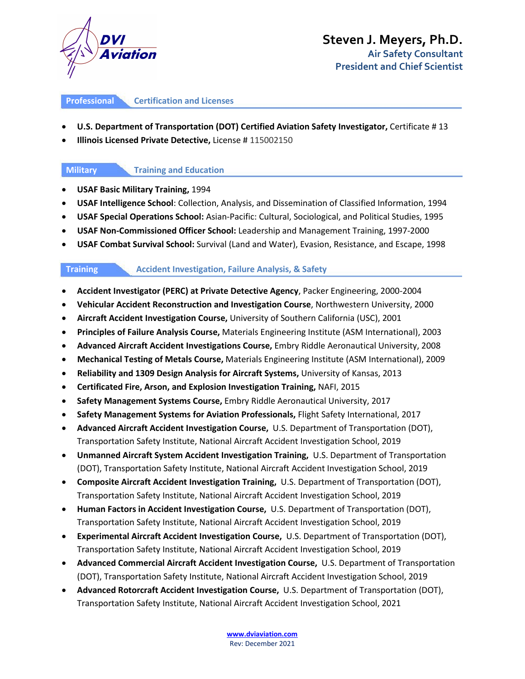

### **Professional Certification and Licenses**

### • **U.S. Department of Transportation (DOT) Certified Aviation Safety Investigator,** Certificate # 13

• **Illinois Licensed Private Detective,** License # 115002150

### **Military Training and Education**

- **USAF Basic Military Training,** 1994
- **USAF Intelligence School**: Collection, Analysis, and Dissemination of Classified Information, 1994
- **USAF Special Operations School:** Asian-Pacific: Cultural, Sociological, and Political Studies, 1995
- **USAF Non-Commissioned Officer School:** Leadership and Management Training, 1997-2000
- **USAF Combat Survival School:** Survival (Land and Water), Evasion, Resistance, and Escape, 1998

### **Training Accident Investigation, Failure Analysis, & Safety**

- **Accident Investigator (PERC) at Private Detective Agency**, Packer Engineering, 2000-2004
- **Vehicular Accident Reconstruction and Investigation Course**, Northwestern University, 2000
- **Aircraft Accident Investigation Course,** University of Southern California (USC), 2001
- **Principles of Failure Analysis Course,** Materials Engineering Institute (ASM International), 2003
- **Advanced Aircraft Accident Investigations Course,** Embry Riddle Aeronautical University, 2008
- **Mechanical Testing of Metals Course,** Materials Engineering Institute (ASM International), 2009
- **Reliability and 1309 Design Analysis for Aircraft Systems,** University of Kansas, 2013
- **Certificated Fire, Arson, and Explosion Investigation Training,** NAFI, 2015
- **Safety Management Systems Course,** Embry Riddle Aeronautical University, 2017
- **Safety Management Systems for Aviation Professionals,** Flight Safety International, 2017
- **Advanced Aircraft Accident Investigation Course,** U.S. Department of Transportation (DOT), Transportation Safety Institute, National Aircraft Accident Investigation School, 2019
- **Unmanned Aircraft System Accident Investigation Training,** U.S. Department of Transportation (DOT), Transportation Safety Institute, National Aircraft Accident Investigation School, 2019
- **Composite Aircraft Accident Investigation Training,** U.S. Department of Transportation (DOT), Transportation Safety Institute, National Aircraft Accident Investigation School, 2019
- **Human Factors in Accident Investigation Course,** U.S. Department of Transportation (DOT), Transportation Safety Institute, National Aircraft Accident Investigation School, 2019
- **Experimental Aircraft Accident Investigation Course,** U.S. Department of Transportation (DOT), Transportation Safety Institute, National Aircraft Accident Investigation School, 2019
- **Advanced Commercial Aircraft Accident Investigation Course,** U.S. Department of Transportation (DOT), Transportation Safety Institute, National Aircraft Accident Investigation School, 2019
- **Advanced Rotorcraft Accident Investigation Course,** U.S. Department of Transportation (DOT), Transportation Safety Institute, National Aircraft Accident Investigation School, 2021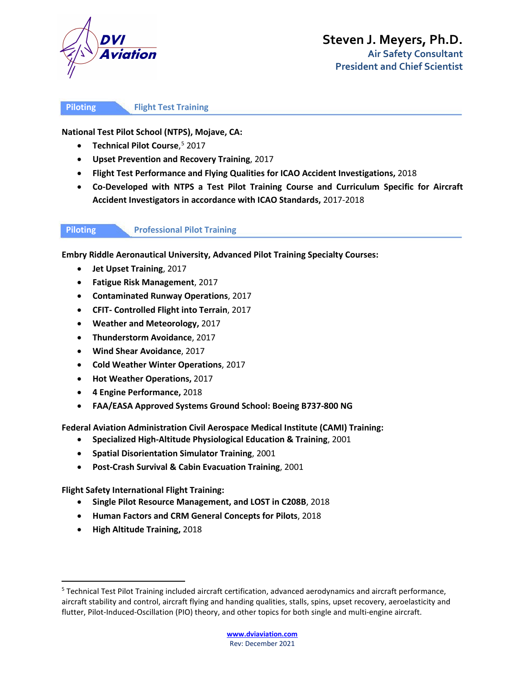

### **Piloting Flight Test Training**

**National Test Pilot School (NTPS), Mojave, CA:**

- **Technical Pilot Course**, [5](#page-3-0) 2017
- **Upset Prevention and Recovery Training**, 2017
- **Flight Test Performance and Flying Qualities for ICAO Accident Investigations,** 2018
- **Co-Developed with NTPS a Test Pilot Training Course and Curriculum Specific for Aircraft Accident Investigators in accordance with ICAO Standards,** 2017-2018

### **Piloting Professional Pilot Training**

**Embry Riddle Aeronautical University, Advanced Pilot Training Specialty Courses:**

- **Jet Upset Training**, 2017
- **Fatigue Risk Management**, 2017
- **Contaminated Runway Operations**, 2017
- **CFIT- Controlled Flight into Terrain**, 2017
- **Weather and Meteorology,** 2017
- **Thunderstorm Avoidance**, 2017
- **Wind Shear Avoidance**, 2017
- **Cold Weather Winter Operations**, 2017
- **Hot Weather Operations,** 2017
- **4 Engine Performance,** 2018
- **FAA/EASA Approved Systems Ground School: Boeing B737-800 NG**

**Federal Aviation Administration Civil Aerospace Medical Institute (CAMI) Training:**

- **Specialized High-Altitude Physiological Education & Training**, 2001
- **Spatial Disorientation Simulator Training**, 2001
- **Post-Crash Survival & Cabin Evacuation Training**, 2001

**Flight Safety International Flight Training:**

- **Single Pilot Resource Management, and LOST in C208B**, 2018
- **Human Factors and CRM General Concepts for Pilots**, 2018
- **High Altitude Training,** 2018

<span id="page-3-0"></span><sup>5</sup> Technical Test Pilot Training included aircraft certification, advanced aerodynamics and aircraft performance, aircraft stability and control, aircraft flying and handing qualities, stalls, spins, upset recovery, aeroelasticity and flutter, Pilot-Induced-Oscillation (PIO) theory, and other topics for both single and multi-engine aircraft.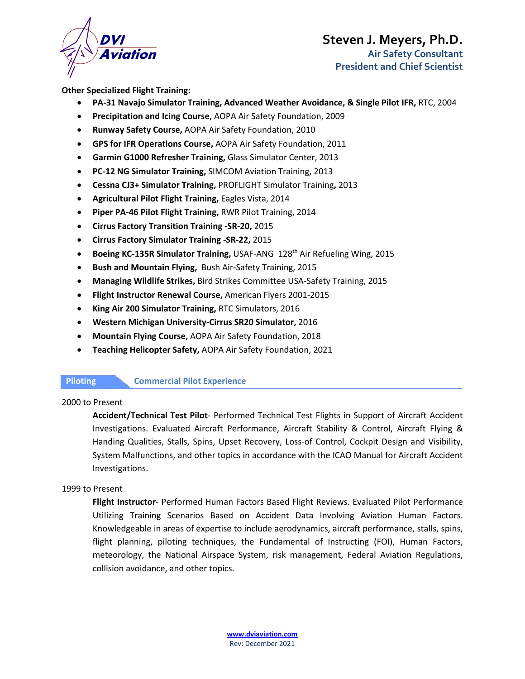

**President and Chief Scientist**

**Other Specialized Flight Training:**

- **PA-31 Navajo Simulator Training, Advanced Weather Avoidance, & Single Pilot IFR,** RTC, 2004
- **Precipitation and Icing Course,** AOPA Air Safety Foundation, 2009
- **Runway Safety Course,** AOPA Air Safety Foundation, 2010
- **GPS for IFR Operations Course,** AOPA Air Safety Foundation, 2011
- **Garmin G1000 Refresher Training,** Glass Simulator Center, 2013
- **PC-12 NG Simulator Training,** SIMCOM Aviation Training, 2013
- **Cessna CJ3+ Simulator Training,** PROFLIGHT Simulator Training**,** 2013
- **Agricultural Pilot Flight Training,** Eagles Vista, 2014
- **Piper PA-46 Pilot Flight Training,** RWR Pilot Training, 2014
- **Cirrus Factory Transition Training -SR-20,** 2015
- **Cirrus Factory Simulator Training -SR-22,** 2015
- **Boeing KC-135R Simulator Training, USAF-ANG 128<sup>th</sup> Air Refueling Wing, 2015**
- **Bush and Mountain Flying,** Bush Air**-**Safety Training, 2015
- **Managing Wildlife Strikes,** Bird Strikes Committee USA-Safety Training, 2015
- **Flight Instructor Renewal Course,** American Flyers 2001-2015
- **King Air 200 Simulator Training,** RTC Simulators, 2016
- **Western Michigan University-Cirrus SR20 Simulator,** 2016
- **Mountain Flying Course,** AOPA Air Safety Foundation, 2018
- **Teaching Helicopter Safety,** AOPA Air Safety Foundation, 2021

**Piloting Commercial Pilot Experience** 

### 2000 to Present

**Accident/Technical Test Pilot**- Performed Technical Test Flights in Support of Aircraft Accident Investigations. Evaluated Aircraft Performance, Aircraft Stability & Control, Aircraft Flying & Handing Qualities, Stalls, Spins, Upset Recovery, Loss-of Control, Cockpit Design and Visibility, System Malfunctions, and other topics in accordance with the ICAO Manual for Aircraft Accident Investigations.

### 1999 to Present

**Flight Instructor**- Performed Human Factors Based Flight Reviews. Evaluated Pilot Performance Utilizing Training Scenarios Based on Accident Data Involving Aviation Human Factors. Knowledgeable in areas of expertise to include aerodynamics, aircraft performance, stalls, spins, flight planning, piloting techniques, the Fundamental of Instructing (FOI), Human Factors, meteorology, the National Airspace System, risk management, Federal Aviation Regulations, collision avoidance, and other topics.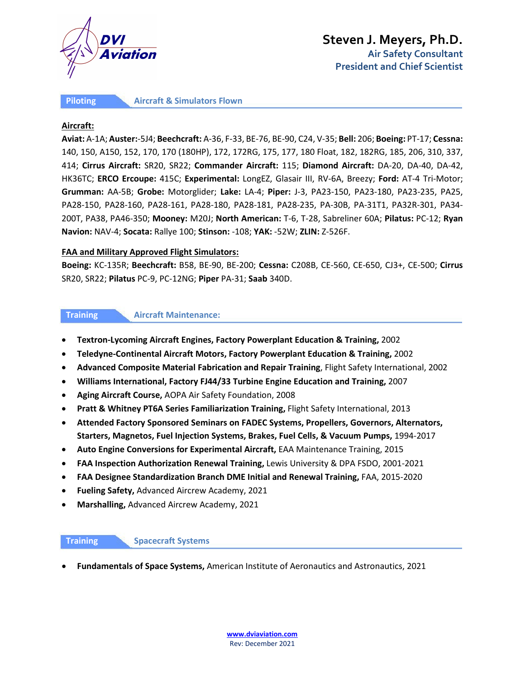

**Piloting Aircraft & Simulators Flown** 

### **Aircraft:**

**Aviat:** A-1A; **Auster:**-5J4; **Beechcraft:** A-36, F-33, BE-76, BE-90, C24, V-35; **Bell:** 206; **Boeing:** PT-17; **Cessna:** 140, 150, A150, 152, 170, 170 (180HP), 172, 172RG, 175, 177, 180 Float, 182, 182RG, 185, 206, 310, 337, 414; **Cirrus Aircraft:** SR20, SR22; **Commander Aircraft:** 115; **Diamond Aircraft:** DA-20, DA-40, DA-42, HK36TC; **ERCO Ercoupe:** 415C; **Experimental:** LongEZ, Glasair III, RV-6A, Breezy; **Ford:** AT-4 Tri-Motor; **Grumman:** AA-5B; **Grobe:** Motorglider; **Lake:** LA-4; **Piper:** J-3, PA23-150, PA23-180, PA23-235, PA25, PA28-150, PA28-160, PA28-161, PA28-180, PA28-181, PA28-235, PA-30B, PA-31T1, PA32R-301, PA34- 200T, PA38, PA46-350; **Mooney:** M20J; **North American:** T-6, T-28, Sabreliner 60A; **Pilatus:** PC-12; **Ryan Navion:** NAV-4; **Socata:** Rallye 100; **Stinson:** -108; **YAK:** -52W; **ZLIN:** Z-526F.

### **FAA and Military Approved Flight Simulators:**

**Boeing:** KC-135R; **Beechcraft:** B58, BE-90, BE-200; **Cessna:** C208B, CE-560, CE-650, CJ3+, CE-500; **Cirrus**  SR20, SR22; **Pilatus** PC-9, PC-12NG; **Piper** PA-31; **Saab** 340D.

### **Training Aircraft Maintenance:**

- **Textron-Lycoming Aircraft Engines, Factory Powerplant Education & Training,** 2002
- **Teledyne-Continental Aircraft Motors, Factory Powerplant Education & Training,** 2002
- **Advanced Composite Material Fabrication and Repair Training**, Flight Safety International, 2002
- **Williams International, Factory FJ44/33 Turbine Engine Education and Training,** 2007
- **Aging Aircraft Course,** AOPA Air Safety Foundation, 2008
- **Pratt & Whitney PT6A Series Familiarization Training,** Flight Safety International, 2013
- **Attended Factory Sponsored Seminars on FADEC Systems, Propellers, Governors, Alternators, Starters, Magnetos, Fuel Injection Systems, Brakes, Fuel Cells, & Vacuum Pumps,** 1994-2017
- **Auto Engine Conversions for Experimental Aircraft,** EAA Maintenance Training, 2015
- **FAA Inspection Authorization Renewal Training,** Lewis University & DPA FSDO, 2001-2021
- **FAA Designee Standardization Branch DME Initial and Renewal Training,** FAA, 2015-2020
- **Fueling Safety,** Advanced Aircrew Academy, 2021
- **Marshalling,** Advanced Aircrew Academy, 2021

### **Training Spacecraft Systems**

• **Fundamentals of Space Systems,** American Institute of Aeronautics and Astronautics, 2021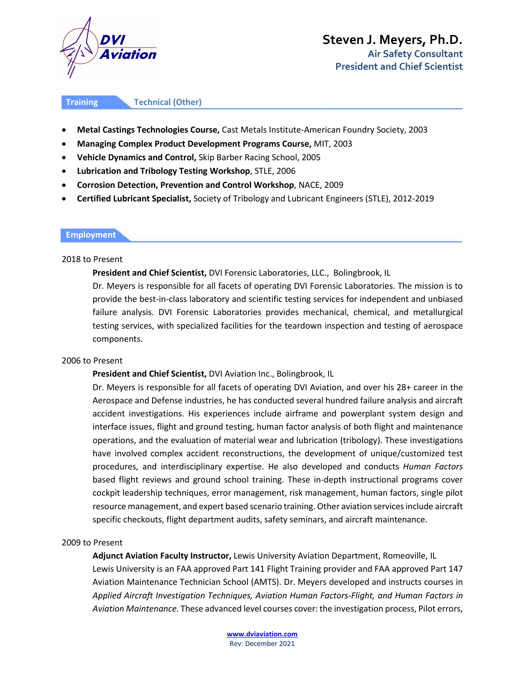

**Training Technical (Other)** 

- **Metal Castings Technologies Course,** Cast Metals Institute-American Foundry Society, 2003
- **Managing Complex Product Development Programs Course,** MIT, 2003
- **Vehicle Dynamics and Control,** Skip Barber Racing School, 2005
- **Lubrication and Tribology Testing Workshop**, STLE, 2006
- **Corrosion Detection, Prevention and Control Workshop**, NACE, 2009
- **Certified Lubricant Specialist,** Society of Tribology and Lubricant Engineers (STLE), 2012-2019

### **Employment**

### 2018 to Present

### **President and Chief Scientist,** DVI Forensic Laboratories, LLC., Bolingbrook, IL

Dr. Meyers is responsible for all facets of operating DVI Forensic Laboratories. The mission is to provide the best-in-class laboratory and scientific testing services for independent and unbiased failure analysis. DVI Forensic Laboratories provides mechanical, chemical, and metallurgical testing services, with specialized facilities for the teardown inspection and testing of aerospace components.

### 2006 to Present

### **President and Chief Scientist,** DVI Aviation Inc., Bolingbrook, IL

Dr. Meyers is responsible for all facets of operating DVI Aviation, and over his 28+ career in the Aerospace and Defense industries, he has conducted several hundred failure analysis and aircraft accident investigations. His experiences include airframe and powerplant system design and interface issues, flight and ground testing, human factor analysis of both flight and maintenance operations, and the evaluation of material wear and lubrication (tribology). These investigations have involved complex accident reconstructions, the development of unique/customized test procedures, and interdisciplinary expertise. He also developed and conducts *Human Factors* based flight reviews and ground school training. These in-depth instructional programs cover cockpit leadership techniques, error management, risk management, human factors, single pilot resource management, and expert based scenario training. Other aviation services include aircraft specific checkouts, flight department audits, safety seminars, and aircraft maintenance.

### 2009 to Present

**Adjunct Aviation Faculty Instructor,** Lewis University Aviation Department, Romeoville, IL Lewis University is an FAA approved Part 141 Flight Training provider and FAA approved Part 147 Aviation Maintenance Technician School (AMTS). Dr. Meyers developed and instructs courses in *Applied Aircraft Investigation Techniques, Aviation Human Factors-Flight, and Human Factors in Aviation Maintenance.* These advanced level courses cover: the investigation process, Pilot errors,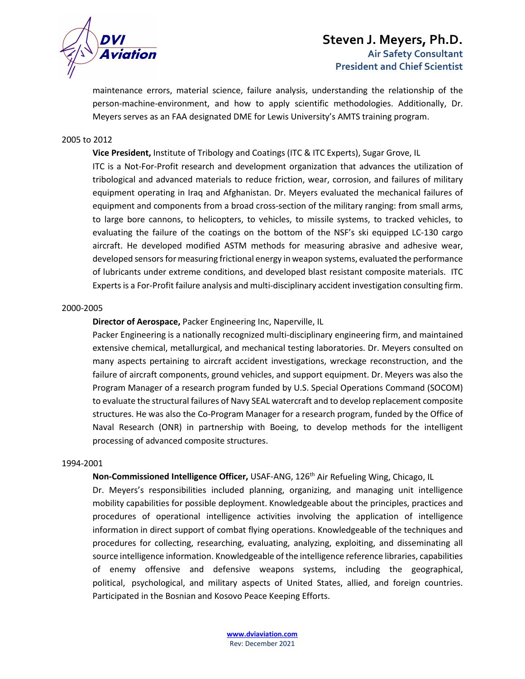

maintenance errors, material science, failure analysis, understanding the relationship of the person-machine-environment, and how to apply scientific methodologies. Additionally, Dr. Meyers serves as an FAA designated DME for Lewis University's AMTS training program.

### 2005 to 2012

**Vice President,** Institute of Tribology and Coatings (ITC & ITC Experts), Sugar Grove, IL ITC is a Not-For-Profit research and development organization that advances the utilization of tribological and advanced materials to reduce friction, wear, corrosion, and failures of military equipment operating in Iraq and Afghanistan. Dr. Meyers evaluated the mechanical failures of equipment and components from a broad cross-section of the military ranging: from small arms, to large bore cannons, to helicopters, to vehicles, to missile systems, to tracked vehicles, to evaluating the failure of the coatings on the bottom of the NSF's ski equipped LC-130 cargo aircraft. He developed modified ASTM methods for measuring abrasive and adhesive wear, developed sensors for measuring frictional energy in weapon systems, evaluated the performance of lubricants under extreme conditions, and developed blast resistant composite materials. ITC Experts is a For-Profit failure analysis and multi-disciplinary accident investigation consulting firm.

### 2000-2005

### **Director of Aerospace,** Packer Engineering Inc, Naperville, IL

Packer Engineering is a nationally recognized multi-disciplinary engineering firm, and maintained extensive chemical, metallurgical, and mechanical testing laboratories. Dr. Meyers consulted on many aspects pertaining to aircraft accident investigations, wreckage reconstruction, and the failure of aircraft components, ground vehicles, and support equipment. Dr. Meyers was also the Program Manager of a research program funded by U.S. Special Operations Command (SOCOM) to evaluate the structural failures of Navy SEAL watercraft and to develop replacement composite structures. He was also the Co-Program Manager for a research program, funded by the Office of Naval Research (ONR) in partnership with Boeing, to develop methods for the intelligent processing of advanced composite structures.

### 1994-2001

### **Non-Commissioned Intelligence Officer,** USAF-ANG, 126th Air Refueling Wing, Chicago, IL

Dr. Meyers's responsibilities included planning, organizing, and managing unit intelligence mobility capabilities for possible deployment. Knowledgeable about the principles, practices and procedures of operational intelligence activities involving the application of intelligence information in direct support of combat flying operations. Knowledgeable of the techniques and procedures for collecting, researching, evaluating, analyzing, exploiting, and disseminating all source intelligence information. Knowledgeable of the intelligence reference libraries, capabilities of enemy offensive and defensive weapons systems, including the geographical, political, psychological, and military aspects of United States, allied, and foreign countries. Participated in the Bosnian and Kosovo Peace Keeping Efforts.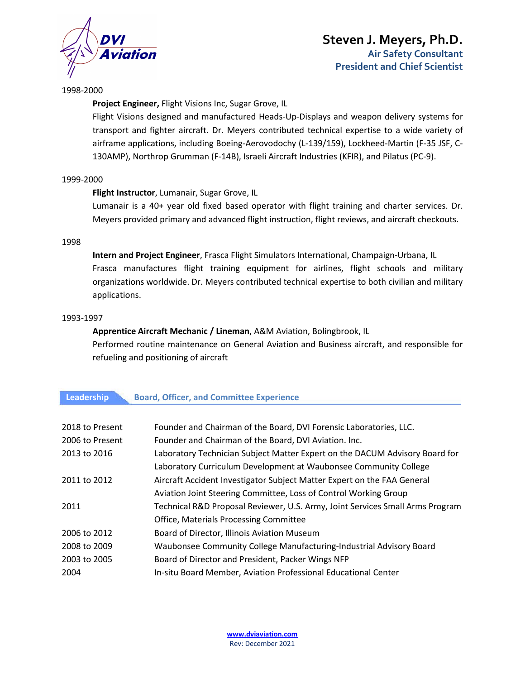

1998-2000

**Project Engineer,** Flight Visions Inc, Sugar Grove, IL

Flight Visions designed and manufactured Heads-Up-Displays and weapon delivery systems for transport and fighter aircraft. Dr. Meyers contributed technical expertise to a wide variety of airframe applications, including Boeing-Aerovodochy (L-139/159), Lockheed-Martin (F-35 JSF, C-130AMP), Northrop Grumman (F-14B), Israeli Aircraft Industries (KFIR), and Pilatus (PC-9).

### 1999-2000

### **Flight Instructor**, Lumanair, Sugar Grove, IL

Lumanair is a 40+ year old fixed based operator with flight training and charter services. Dr. Meyers provided primary and advanced flight instruction, flight reviews, and aircraft checkouts.

### 1998

**Intern and Project Engineer**, Frasca Flight Simulators International, Champaign-Urbana, IL Frasca manufactures flight training equipment for airlines, flight schools and military organizations worldwide. Dr. Meyers contributed technical expertise to both civilian and military applications.

### 1993-1997

## **Apprentice Aircraft Mechanic / Lineman**, A&M Aviation, Bolingbrook, IL Performed routine maintenance on General Aviation and Business aircraft, and responsible for refueling and positioning of aircraft

### **Leadership Board, Officer, and Committee Experience**

| 2018 to Present | Founder and Chairman of the Board, DVI Forensic Laboratories, LLC.            |
|-----------------|-------------------------------------------------------------------------------|
| 2006 to Present | Founder and Chairman of the Board, DVI Aviation. Inc.                         |
| 2013 to 2016    | Laboratory Technician Subject Matter Expert on the DACUM Advisory Board for   |
|                 | Laboratory Curriculum Development at Waubonsee Community College              |
| 2011 to 2012    | Aircraft Accident Investigator Subject Matter Expert on the FAA General       |
|                 | Aviation Joint Steering Committee, Loss of Control Working Group              |
| 2011            | Technical R&D Proposal Reviewer, U.S. Army, Joint Services Small Arms Program |
|                 | <b>Office, Materials Processing Committee</b>                                 |
| 2006 to 2012    | Board of Director, Illinois Aviation Museum                                   |
| 2008 to 2009    | Waubonsee Community College Manufacturing-Industrial Advisory Board           |
| 2003 to 2005    | Board of Director and President, Packer Wings NFP                             |
| 2004            | In-situ Board Member, Aviation Professional Educational Center                |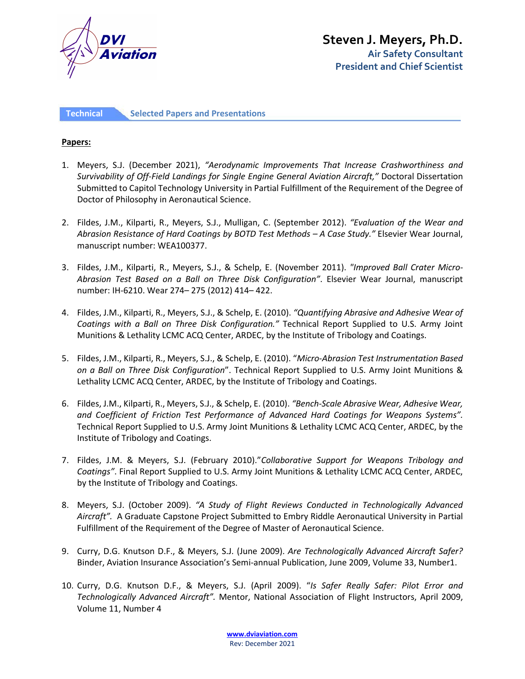

**Technical Selected Papers and Presentations** 

### **Papers:**

- 1. Meyers, S.J. (December 2021), *"Aerodynamic Improvements That Increase Crashworthiness and Survivability of Off-Field Landings for Single Engine General Aviation Aircraft,"* Doctoral Dissertation Submitted to Capitol Technology University in Partial Fulfillment of the Requirement of the Degree of Doctor of Philosophy in Aeronautical Science.
- 2. Fildes, J.M., Kilparti, R., Meyers, S.J., Mulligan, C. (September 2012). *"Evaluation of the Wear and Abrasion Resistance of Hard Coatings by BOTD Test Methods – A Case Study."* Elsevier Wear Journal, manuscript number: WEA100377.
- 3. Fildes, J.M., Kilparti, R., Meyers, S.J., & Schelp, E. (November 2011). *"Improved Ball Crater Micro-Abrasion Test Based on a Ball on Three Disk Configuration"*. Elsevier Wear Journal, manuscript number: IH-6210. Wear 274– 275 (2012) 414– 422.
- 4. Fildes, J.M., Kilparti, R., Meyers, S.J., & Schelp, E. (2010). *"Quantifying Abrasive and Adhesive Wear of Coatings with a Ball on Three Disk Configuration."* Technical Report Supplied to U.S. Army Joint Munitions & Lethality LCMC ACQ Center, ARDEC, by the Institute of Tribology and Coatings.
- 5. Fildes, J.M., Kilparti, R., Meyers, S.J., & Schelp, E. (2010). "*Micro-Abrasion Test Instrumentation Based on a Ball on Three Disk Configuration*". Technical Report Supplied to U.S. Army Joint Munitions & Lethality LCMC ACQ Center, ARDEC, by the Institute of Tribology and Coatings.
- 6. Fildes, J.M., Kilparti, R., Meyers, S.J., & Schelp, E. (2010). *"Bench-Scale Abrasive Wear, Adhesive Wear, and Coefficient of Friction Test Performance of Advanced Hard Coatings for Weapons Systems".*  Technical Report Supplied to U.S. Army Joint Munitions & Lethality LCMC ACQ Center, ARDEC, by the Institute of Tribology and Coatings.
- 7. Fildes, J.M. & Meyers, S.J. (February 2010)."*Collaborative Support for Weapons Tribology and Coatings"*. Final Report Supplied to U.S. Army Joint Munitions & Lethality LCMC ACQ Center, ARDEC, by the Institute of Tribology and Coatings.
- 8. Meyers, S.J. (October 2009). *"A Study of Flight Reviews Conducted in Technologically Advanced Aircraft".* A Graduate Capstone Project Submitted to Embry Riddle Aeronautical University in Partial Fulfillment of the Requirement of the Degree of Master of Aeronautical Science.
- 9. Curry, D.G. Knutson D.F., & Meyers, S.J. (June 2009). *Are Technologically Advanced Aircraft Safer?* Binder, Aviation Insurance Association's Semi-annual Publication, June 2009, Volume 33, Number1.
- 10. Curry, D.G. Knutson D.F., & Meyers, S.J. (April 2009). "*Is Safer Really Safer: Pilot Error and Technologically Advanced Aircraft".* Mentor, National Association of Flight Instructors, April 2009, Volume 11, Number 4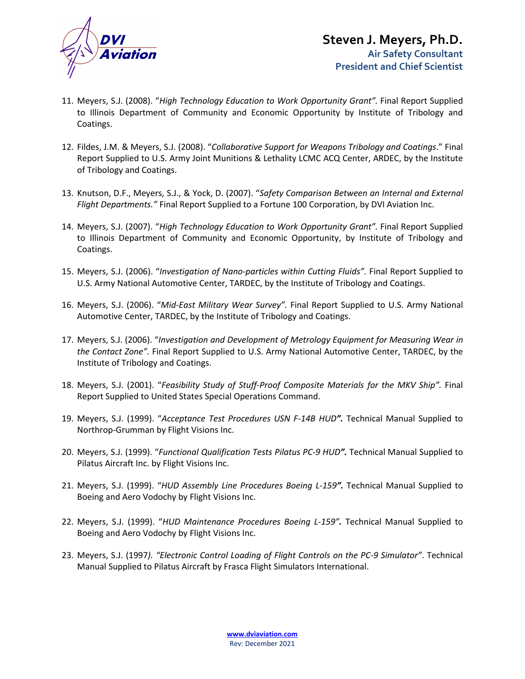

- 11. Meyers, S.J. (2008). "*High Technology Education to Work Opportunity Grant".* Final Report Supplied to Illinois Department of Community and Economic Opportunity by Institute of Tribology and Coatings.
- 12. Fildes, J.M. & Meyers, S.J. (2008). "*Collaborative Support for Weapons Tribology and Coatings*." Final Report Supplied to U.S. Army Joint Munitions & Lethality LCMC ACQ Center, ARDEC, by the Institute of Tribology and Coatings.
- 13. Knutson, D.F., Meyers, S.J., & Yock, D. (2007). "*Safety Comparison Between an Internal and External Flight Departments."* Final Report Supplied to a Fortune 100 Corporation, by DVI Aviation Inc.
- 14. Meyers, S.J. (2007). "*High Technology Education to Work Opportunity Grant".* Final Report Supplied to Illinois Department of Community and Economic Opportunity, by Institute of Tribology and Coatings.
- 15. Meyers, S.J. (2006). "*Investigation of Nano-particles within Cutting Fluids".* Final Report Supplied to U.S. Army National Automotive Center, TARDEC, by the Institute of Tribology and Coatings.
- 16. Meyers, S.J. (2006). "*Mid-East Military Wear Survey".* Final Report Supplied to U.S. Army National Automotive Center, TARDEC, by the Institute of Tribology and Coatings.
- 17. Meyers, S.J. (2006). "*Investigation and Development of Metrology Equipment for Measuring Wear in the Contact Zone".* Final Report Supplied to U.S. Army National Automotive Center, TARDEC, by the Institute of Tribology and Coatings.
- 18. Meyers, S.J. (2001). "*Feasibility Study of Stuff-Proof Composite Materials for the MKV Ship".* Final Report Supplied to United States Special Operations Command.
- 19. Meyers, S.J. (1999). "*Acceptance Test Procedures USN F-14B HUD".* Technical Manual Supplied to Northrop-Grumman by Flight Visions Inc.
- 20. Meyers, S.J. (1999). "*Functional Qualification Tests Pilatus PC-9 HUD".* Technical Manual Supplied to Pilatus Aircraft Inc. by Flight Visions Inc.
- 21. Meyers, S.J. (1999). "*HUD Assembly Line Procedures Boeing L-159".* Technical Manual Supplied to Boeing and Aero Vodochy by Flight Visions Inc.
- 22. Meyers, S.J. (1999). "*HUD Maintenance Procedures Boeing L-159".* Technical Manual Supplied to Boeing and Aero Vodochy by Flight Visions Inc.
- 23. Meyers, S.J. (1997*). "Electronic Control Loading of Flight Controls on the PC-9 Simulator"*. Technical Manual Supplied to Pilatus Aircraft by Frasca Flight Simulators International.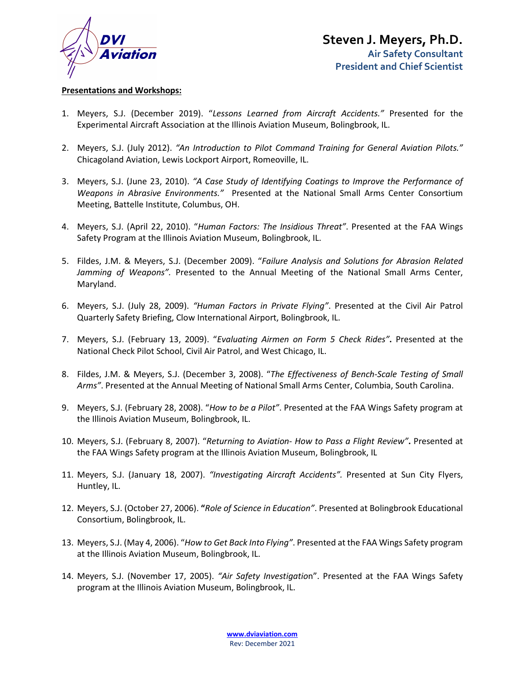

### **Presentations and Workshops:**

- 1. Meyers, S.J. (December 2019). "*Lessons Learned from Aircraft Accidents."* Presented for the Experimental Aircraft Association at the Illinois Aviation Museum, Bolingbrook, IL.
- 2. Meyers, S.J. (July 2012). *"An Introduction to Pilot Command Training for General Aviation Pilots."* Chicagoland Aviation, Lewis Lockport Airport, Romeoville, IL.
- 3. Meyers, S.J. (June 23, 2010). *"A Case Study of Identifying Coatings to Improve the Performance of Weapons in Abrasive Environments."* Presented at the National Small Arms Center Consortium Meeting, Battelle Institute, Columbus, OH.
- 4. Meyers, S.J. (April 22, 2010). "*Human Factors: The Insidious Threat"*. Presented at the FAA Wings Safety Program at the Illinois Aviation Museum, Bolingbrook, IL.
- 5. Fildes, J.M. & Meyers, S.J. (December 2009). "*Failure Analysis and Solutions for Abrasion Related Jamming of Weapons".* Presented to the Annual Meeting of the National Small Arms Center, Maryland.
- 6. Meyers, S.J. (July 28, 2009). *"Human Factors in Private Flying"*. Presented at the Civil Air Patrol Quarterly Safety Briefing, Clow International Airport, Bolingbrook, IL.
- 7. Meyers, S.J. (February 13, 2009). "*Evaluating Airmen on Form 5 Check Rides"***.** Presented at the National Check Pilot School, Civil Air Patrol, and West Chicago, IL.
- 8. Fildes, J.M. & Meyers, S.J. (December 3, 2008). "*The Effectiveness of Bench-Scale Testing of Small Arms"*. Presented at the Annual Meeting of National Small Arms Center, Columbia, South Carolina.
- 9. Meyers, S.J. (February 28, 2008). "*How to be a Pilot"*. Presented at the FAA Wings Safety program at the Illinois Aviation Museum, Bolingbrook, IL.
- 10. Meyers, S.J. (February 8, 2007). "*Returning to Aviation- How to Pass a Flight Review"***.** Presented at the FAA Wings Safety program at the Illinois Aviation Museum, Bolingbrook, IL
- 11. Meyers, S.J. (January 18, 2007). *"Investigating Aircraft Accidents".* Presented at Sun City Flyers, Huntley, IL.
- 12. Meyers, S.J. (October 27, 2006). **"***Role of Science in Education"*. Presented at Bolingbrook Educational Consortium, Bolingbrook, IL.
- 13. Meyers, S.J. (May 4, 2006). "*How to Get Back Into Flying"*. Presented at the FAA Wings Safety program at the Illinois Aviation Museum, Bolingbrook, IL.
- 14. Meyers, S.J. (November 17, 2005). *"Air Safety Investigatio*n". Presented at the FAA Wings Safety program at the Illinois Aviation Museum, Bolingbrook, IL.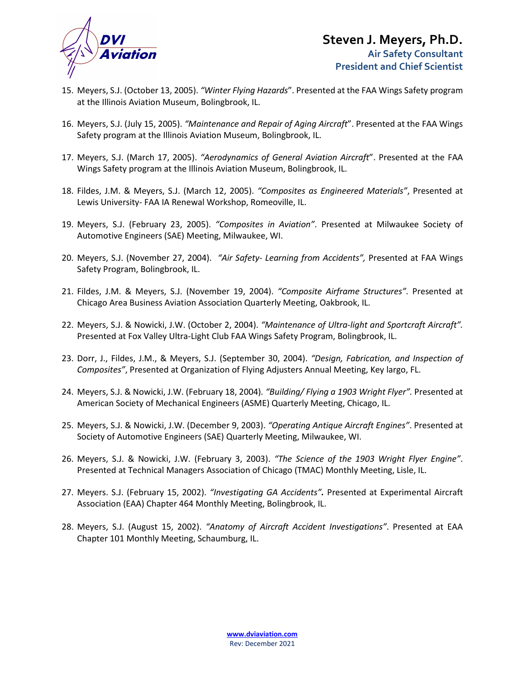

- 15. Meyers, S.J. (October 13, 2005). *"Winter Flying Hazards*". Presented at the FAA Wings Safety program at the Illinois Aviation Museum, Bolingbrook, IL.
- 16. Meyers, S.J. (July 15, 2005). *"Maintenance and Repair of Aging Aircraft*". Presented at the FAA Wings Safety program at the Illinois Aviation Museum, Bolingbrook, IL.
- 17. Meyers, S.J. (March 17, 2005). *"Aerodynamics of General Aviation Aircraft*". Presented at the FAA Wings Safety program at the Illinois Aviation Museum, Bolingbrook, IL.
- 18. Fildes, J.M. & Meyers, S.J. (March 12, 2005). *"Composites as Engineered Materials"*, Presented at Lewis University- FAA IA Renewal Workshop, Romeoville, IL.
- 19. Meyers, S.J. (February 23, 2005). *"Composites in Aviation"*. Presented at Milwaukee Society of Automotive Engineers (SAE) Meeting, Milwaukee, WI.
- 20. Meyers, S.J. (November 27, 2004). *"Air Safety- Learning from Accidents",* Presented at FAA Wings Safety Program, Bolingbrook, IL.
- 21. Fildes, J.M. & Meyers, S.J. (November 19, 2004). *"Composite Airframe Structures".* Presented at Chicago Area Business Aviation Association Quarterly Meeting, Oakbrook, IL.
- 22. Meyers, S.J. & Nowicki, J.W. (October 2, 2004). *"Maintenance of Ultra-light and Sportcraft Aircraft".* Presented at Fox Valley Ultra-Light Club FAA Wings Safety Program, Bolingbrook, IL.
- 23. Dorr, J., Fildes, J.M., & Meyers, S.J. (September 30, 2004). *"Design, Fabrication, and Inspection of Composites"*, Presented at Organization of Flying Adjusters Annual Meeting, Key largo, FL.
- 24. Meyers, S.J. & Nowicki, J.W. (February 18, 2004)*. "Building/ Flying a 1903 Wright Flyer".* Presented at American Society of Mechanical Engineers (ASME) Quarterly Meeting, Chicago, IL.
- 25. Meyers, S.J. & Nowicki, J.W. (December 9, 2003). *"Operating Antique Aircraft Engines"*. Presented at Society of Automotive Engineers (SAE) Quarterly Meeting, Milwaukee, WI.
- 26. Meyers, S.J. & Nowicki, J.W. (February 3, 2003). *"The Science of the 1903 Wright Flyer Engine"*. Presented at Technical Managers Association of Chicago (TMAC) Monthly Meeting, Lisle, IL.
- 27. Meyers. S.J. (February 15, 2002). *"Investigating GA Accidents".* Presented at Experimental Aircraft Association (EAA) Chapter 464 Monthly Meeting, Bolingbrook, IL.
- 28. Meyers, S.J. (August 15, 2002). *"Anatomy of Aircraft Accident Investigations"*. Presented at EAA Chapter 101 Monthly Meeting, Schaumburg, IL.